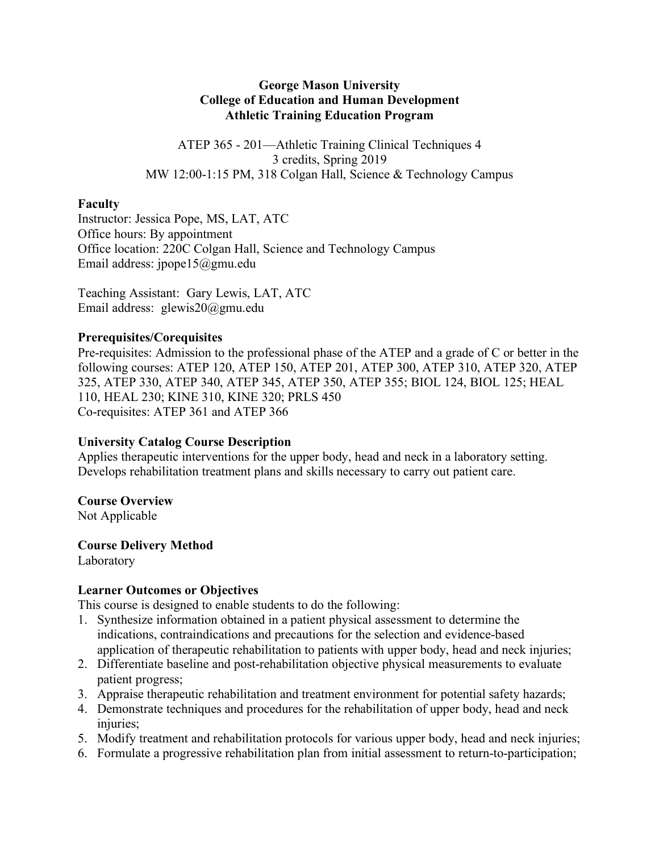## **George Mason University College of Education and Human Development Athletic Training Education Program**

ATEP 365 - 201—Athletic Training Clinical Techniques 4 3 credits, Spring 2019 MW 12:00-1:15 PM, 318 Colgan Hall, Science & Technology Campus

## **Faculty**

Instructor: Jessica Pope, MS, LAT, ATC Office hours: By appointment Office location: 220C Colgan Hall, Science and Technology Campus Email address: jpope15@gmu.edu

Teaching Assistant: Gary Lewis, LAT, ATC Email address: glewis20@gmu.edu

## **Prerequisites/Corequisites**

Pre-requisites: Admission to the professional phase of the ATEP and a grade of C or better in the following courses: ATEP 120, ATEP 150, ATEP 201, ATEP 300, ATEP 310, ATEP 320, ATEP 325, ATEP 330, ATEP 340, ATEP 345, ATEP 350, ATEP 355; BIOL 124, BIOL 125; HEAL 110, HEAL 230; KINE 310, KINE 320; PRLS 450 Co-requisites: ATEP 361 and ATEP 366

# **University Catalog Course Description**

Applies therapeutic interventions for the upper body, head and neck in a laboratory setting. Develops rehabilitation treatment plans and skills necessary to carry out patient care.

### **Course Overview**

Not Applicable

# **Course Delivery Method**

Laboratory

# **Learner Outcomes or Objectives**

This course is designed to enable students to do the following:

- 1. Synthesize information obtained in a patient physical assessment to determine the indications, contraindications and precautions for the selection and evidence-based application of therapeutic rehabilitation to patients with upper body, head and neck injuries;
- 2. Differentiate baseline and post-rehabilitation objective physical measurements to evaluate patient progress;
- 3. Appraise therapeutic rehabilitation and treatment environment for potential safety hazards;
- 4. Demonstrate techniques and procedures for the rehabilitation of upper body, head and neck injuries;
- 5. Modify treatment and rehabilitation protocols for various upper body, head and neck injuries;
- 6. Formulate a progressive rehabilitation plan from initial assessment to return-to-participation;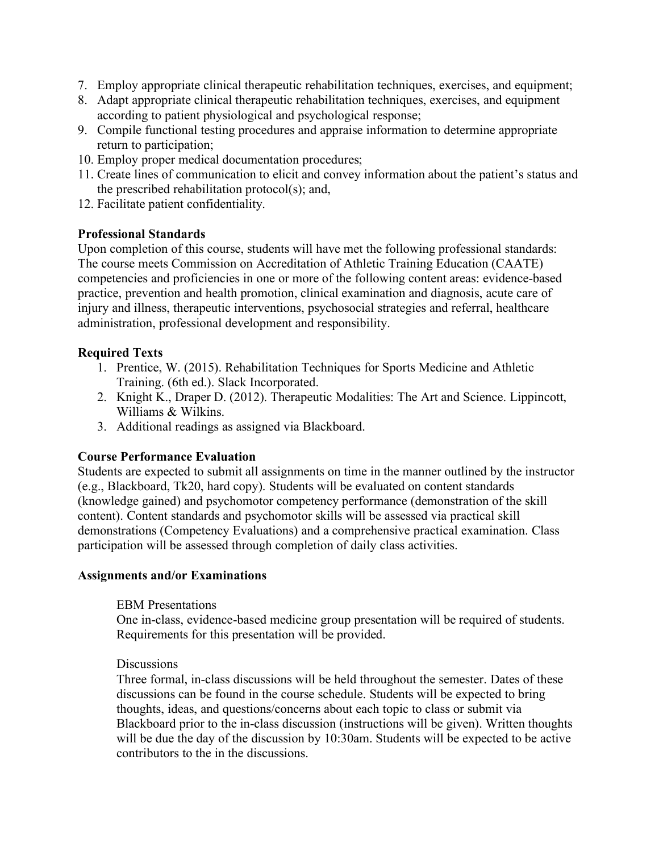- 7. Employ appropriate clinical therapeutic rehabilitation techniques, exercises, and equipment;
- 8. Adapt appropriate clinical therapeutic rehabilitation techniques, exercises, and equipment according to patient physiological and psychological response;
- 9. Compile functional testing procedures and appraise information to determine appropriate return to participation;
- 10. Employ proper medical documentation procedures;
- 11. Create lines of communication to elicit and convey information about the patient's status and the prescribed rehabilitation protocol(s); and,
- 12. Facilitate patient confidentiality.

## **Professional Standards**

Upon completion of this course, students will have met the following professional standards: The course meets Commission on Accreditation of Athletic Training Education (CAATE) competencies and proficiencies in one or more of the following content areas: evidence-based practice, prevention and health promotion, clinical examination and diagnosis, acute care of injury and illness, therapeutic interventions, psychosocial strategies and referral, healthcare administration, professional development and responsibility.

# **Required Texts**

- 1. Prentice, W. (2015). Rehabilitation Techniques for Sports Medicine and Athletic Training. (6th ed.). Slack Incorporated.
- 2. Knight K., Draper D. (2012). Therapeutic Modalities: The Art and Science. Lippincott, Williams & Wilkins.
- 3. Additional readings as assigned via Blackboard.

# **Course Performance Evaluation**

Students are expected to submit all assignments on time in the manner outlined by the instructor (e.g., Blackboard, Tk20, hard copy). Students will be evaluated on content standards (knowledge gained) and psychomotor competency performance (demonstration of the skill content). Content standards and psychomotor skills will be assessed via practical skill demonstrations (Competency Evaluations) and a comprehensive practical examination. Class participation will be assessed through completion of daily class activities.

### **Assignments and/or Examinations**

### EBM Presentations

One in-class, evidence-based medicine group presentation will be required of students. Requirements for this presentation will be provided.

#### **Discussions**

Three formal, in-class discussions will be held throughout the semester. Dates of these discussions can be found in the course schedule. Students will be expected to bring thoughts, ideas, and questions/concerns about each topic to class or submit via Blackboard prior to the in-class discussion (instructions will be given). Written thoughts will be due the day of the discussion by 10:30am. Students will be expected to be active contributors to the in the discussions.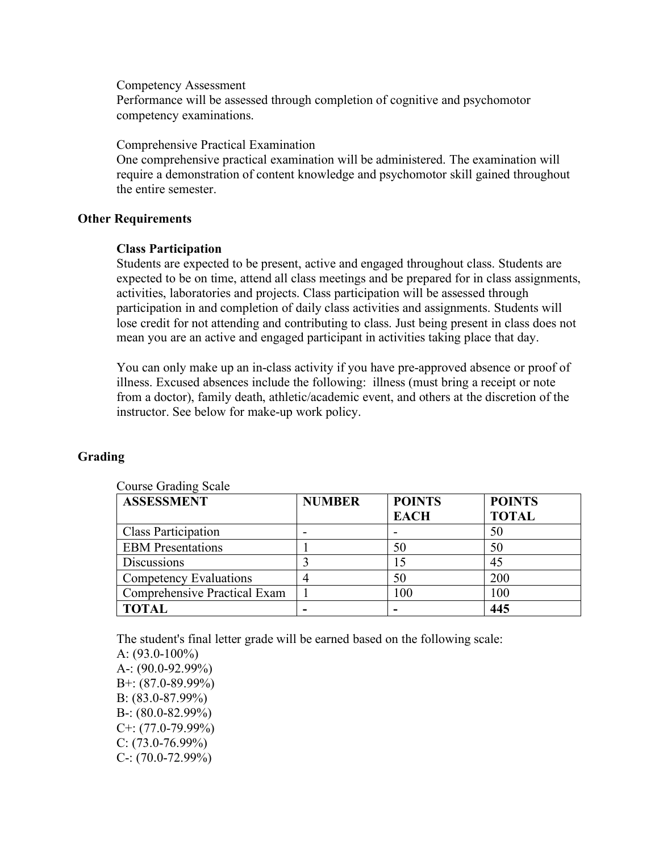#### Competency Assessment

Performance will be assessed through completion of cognitive and psychomotor competency examinations.

#### Comprehensive Practical Examination

One comprehensive practical examination will be administered. The examination will require a demonstration of content knowledge and psychomotor skill gained throughout the entire semester.

#### **Other Requirements**

### **Class Participation**

Students are expected to be present, active and engaged throughout class. Students are expected to be on time, attend all class meetings and be prepared for in class assignments, activities, laboratories and projects. Class participation will be assessed through participation in and completion of daily class activities and assignments. Students will lose credit for not attending and contributing to class. Just being present in class does not mean you are an active and engaged participant in activities taking place that day.

You can only make up an in-class activity if you have pre-approved absence or proof of illness. Excused absences include the following: illness (must bring a receipt or note from a doctor), family death, athletic/academic event, and others at the discretion of the instructor. See below for make-up work policy.

### **Grading**

| <b>ASSESSMENT</b>             | <b>NUMBER</b> | <b>POINTS</b><br><b>EACH</b> | <b>POINTS</b><br><b>TOTAL</b> |
|-------------------------------|---------------|------------------------------|-------------------------------|
| <b>Class Participation</b>    |               |                              | 50                            |
| <b>EBM</b> Presentations      |               | 50                           | 50                            |
| <b>Discussions</b>            |               | 15                           | 45                            |
| <b>Competency Evaluations</b> |               | 50                           | 200                           |
| Comprehensive Practical Exam  |               | 100                          | 100                           |
| <b>TOTAL</b>                  |               |                              | 445                           |

Course Grading Scale

The student's final letter grade will be earned based on the following scale: A:  $(93.0-100\%)$ A-: (90.0-92.99%) B+: (87.0-89.99%) B: (83.0-87.99%) B-:  $(80.0 - 82.99%)$  $C^{+}$ : (77.0-79.99%)  $C: (73.0 - 76.99\%)$  $C-(70.0-72.99%)$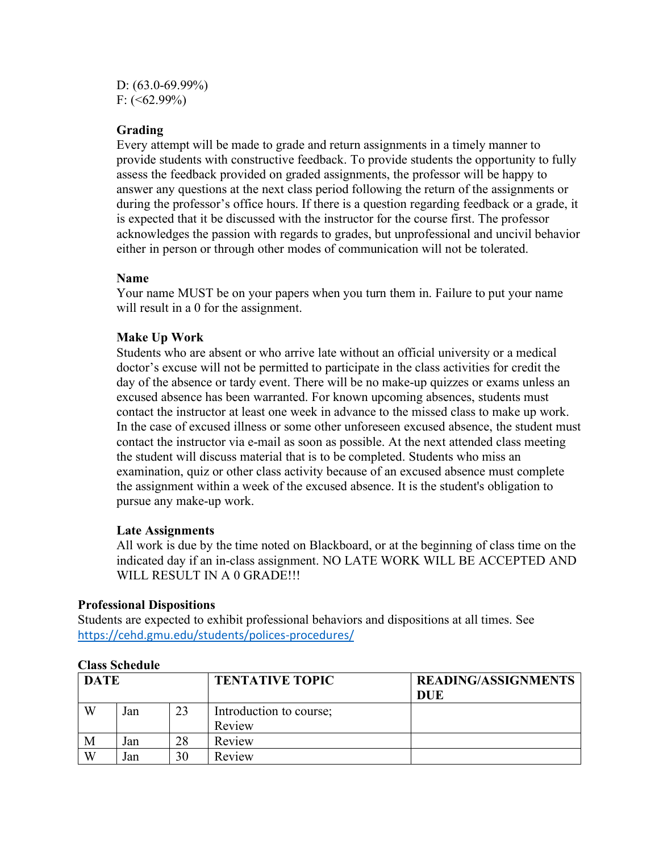D: (63.0-69.99%) F:  $(**62.99%**)$ 

### **Grading**

Every attempt will be made to grade and return assignments in a timely manner to provide students with constructive feedback. To provide students the opportunity to fully assess the feedback provided on graded assignments, the professor will be happy to answer any questions at the next class period following the return of the assignments or during the professor's office hours. If there is a question regarding feedback or a grade, it is expected that it be discussed with the instructor for the course first. The professor acknowledges the passion with regards to grades, but unprofessional and uncivil behavior either in person or through other modes of communication will not be tolerated.

## **Name**

Your name MUST be on your papers when you turn them in. Failure to put your name will result in a 0 for the assignment.

## **Make Up Work**

Students who are absent or who arrive late without an official university or a medical doctor's excuse will not be permitted to participate in the class activities for credit the day of the absence or tardy event. There will be no make-up quizzes or exams unless an excused absence has been warranted. For known upcoming absences, students must contact the instructor at least one week in advance to the missed class to make up work. In the case of excused illness or some other unforeseen excused absence, the student must contact the instructor via e-mail as soon as possible. At the next attended class meeting the student will discuss material that is to be completed. Students who miss an examination, quiz or other class activity because of an excused absence must complete the assignment within a week of the excused absence. It is the student's obligation to pursue any make-up work.

### **Late Assignments**

All work is due by the time noted on Blackboard, or at the beginning of class time on the indicated day if an in-class assignment. NO LATE WORK WILL BE ACCEPTED AND WILL RESULT IN A 0 GRADE!!!

### **Professional Dispositions**

Students are expected to exhibit professional behaviors and dispositions at all times. See https://cehd.gmu.edu/students/polices-procedures/

| <b>DATE</b> |     |    | <b>TENTATIVE TOPIC</b>            | <b>READING/ASSIGNMENTS</b><br>DUE |
|-------------|-----|----|-----------------------------------|-----------------------------------|
| W           | Jan | 23 | Introduction to course;<br>Review |                                   |
| M           | Jan | 28 | Review                            |                                   |
| W           | Jan | 30 | Review                            |                                   |

### **Class Schedule**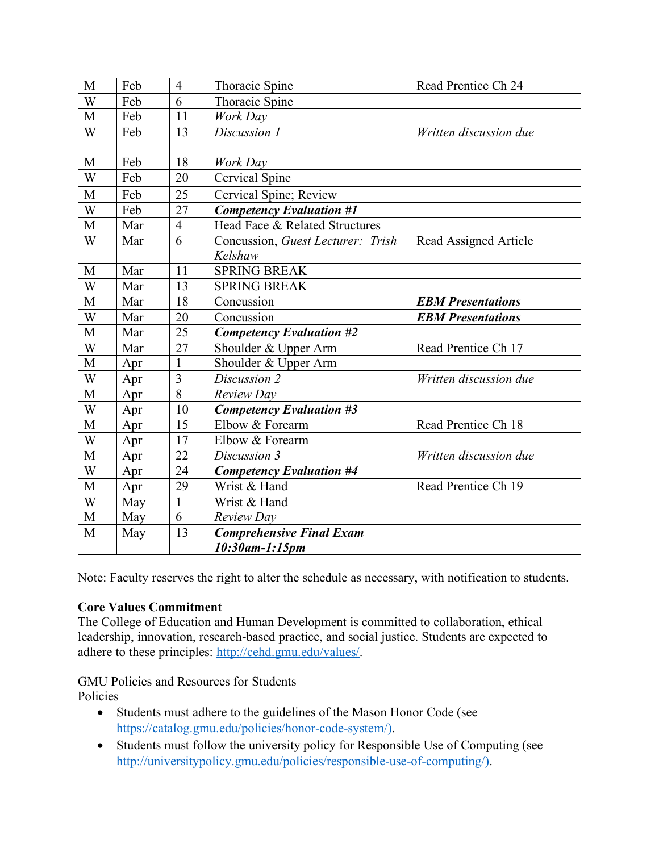| M | Feb | $\overline{4}$  | Thoracic Spine                    | Read Prentice Ch 24      |
|---|-----|-----------------|-----------------------------------|--------------------------|
| W | Feb | 6               | Thoracic Spine                    |                          |
| M | Feb | 11              | Work Day                          |                          |
| W | Feb | 13              | Discussion 1                      | Written discussion due   |
| M | Feb | 18              | Work Day                          |                          |
| W | Feb | 20              | Cervical Spine                    |                          |
| M | Feb | 25              | Cervical Spine; Review            |                          |
| W | Feb | $\overline{27}$ | <b>Competency Evaluation #1</b>   |                          |
| M | Mar | $\overline{4}$  | Head Face & Related Structures    |                          |
| W | Mar | 6               | Concussion, Guest Lecturer: Trish | Read Assigned Article    |
|   |     |                 | Kelshaw                           |                          |
| M | Mar | 11              | <b>SPRING BREAK</b>               |                          |
| W | Mar | 13              | <b>SPRING BREAK</b>               |                          |
| M | Mar | 18              | Concussion                        | <b>EBM</b> Presentations |
| W | Mar | 20              | Concussion                        | <b>EBM</b> Presentations |
| M | Mar | 25              | <b>Competency Evaluation #2</b>   |                          |
| W | Mar | 27              | Shoulder & Upper Arm              | Read Prentice Ch 17      |
| M | Apr | $\mathbf{1}$    | Shoulder & Upper Arm              |                          |
| W | Apr | $\overline{3}$  | Discussion 2                      | Written discussion due   |
| M | Apr | 8               | Review Day                        |                          |
| W | Apr | 10              | <b>Competency Evaluation #3</b>   |                          |
| M | Apr | 15              | Elbow & Forearm                   | Read Prentice Ch 18      |
| W | Apr | 17              | Elbow & Forearm                   |                          |
| M | Apr | 22              | Discussion 3                      | Written discussion due   |
| W | Apr | 24              | <b>Competency Evaluation #4</b>   |                          |
| M | Apr | 29              | Wrist & Hand                      | Read Prentice Ch 19      |
| W | May | $\mathbf{1}$    | Wrist & Hand                      |                          |
| M | May | 6               | Review Day                        |                          |
| M | May | 13              | <b>Comprehensive Final Exam</b>   |                          |
|   |     |                 | 10:30am-1:15pm                    |                          |

Note: Faculty reserves the right to alter the schedule as necessary, with notification to students.

# **Core Values Commitment**

The College of Education and Human Development is committed to collaboration, ethical leadership, innovation, research-based practice, and social justice. Students are expected to adhere to these principles: http://cehd.gmu.edu/values/.

GMU Policies and Resources for Students Policies

- Students must adhere to the guidelines of the Mason Honor Code (see https://catalog.gmu.edu/policies/honor-code-system/).
- Students must follow the university policy for Responsible Use of Computing (see http://universitypolicy.gmu.edu/policies/responsible-use-of-computing/).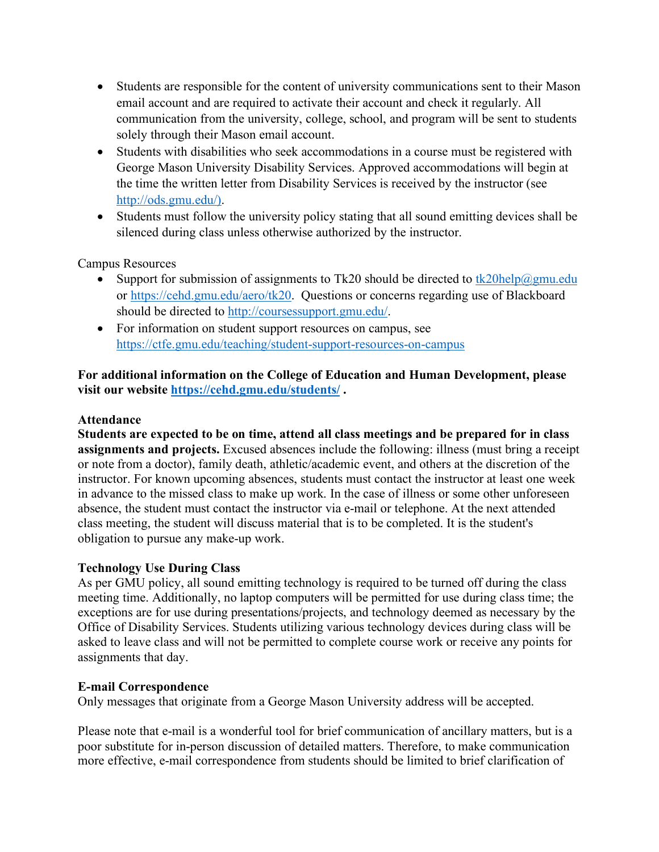- Students are responsible for the content of university communications sent to their Mason email account and are required to activate their account and check it regularly. All communication from the university, college, school, and program will be sent to students solely through their Mason email account.
- Students with disabilities who seek accommodations in a course must be registered with George Mason University Disability Services. Approved accommodations will begin at the time the written letter from Disability Services is received by the instructor (see http://ods.gmu.edu/).
- Students must follow the university policy stating that all sound emitting devices shall be silenced during class unless otherwise authorized by the instructor.

Campus Resources

- Support for submission of assignments to Tk20 should be directed to  $tk20$ help@gmu.edu or https://cehd.gmu.edu/aero/tk20. Questions or concerns regarding use of Blackboard should be directed to http://coursessupport.gmu.edu/.
- For information on student support resources on campus, see https://ctfe.gmu.edu/teaching/student-support-resources-on-campus

**For additional information on the College of Education and Human Development, please visit our website https://cehd.gmu.edu/students/ .**

# **Attendance**

**Students are expected to be on time, attend all class meetings and be prepared for in class assignments and projects.** Excused absences include the following: illness (must bring a receipt or note from a doctor), family death, athletic/academic event, and others at the discretion of the instructor. For known upcoming absences, students must contact the instructor at least one week in advance to the missed class to make up work. In the case of illness or some other unforeseen absence, the student must contact the instructor via e-mail or telephone. At the next attended class meeting, the student will discuss material that is to be completed. It is the student's obligation to pursue any make-up work.

# **Technology Use During Class**

As per GMU policy, all sound emitting technology is required to be turned off during the class meeting time. Additionally, no laptop computers will be permitted for use during class time; the exceptions are for use during presentations/projects, and technology deemed as necessary by the Office of Disability Services. Students utilizing various technology devices during class will be asked to leave class and will not be permitted to complete course work or receive any points for assignments that day.

# **E-mail Correspondence**

Only messages that originate from a George Mason University address will be accepted.

Please note that e-mail is a wonderful tool for brief communication of ancillary matters, but is a poor substitute for in-person discussion of detailed matters. Therefore, to make communication more effective, e-mail correspondence from students should be limited to brief clarification of